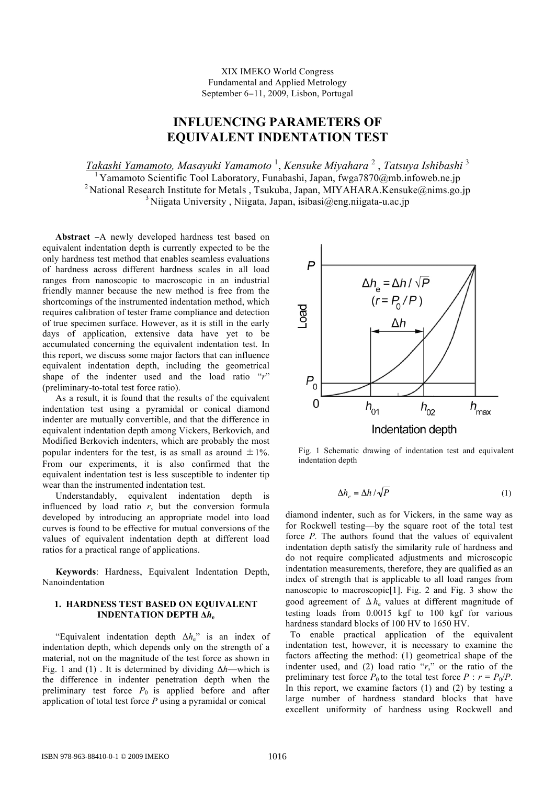## XIX IMEKO World Congress Fundamental and Applied Metrology September 6−11, 2009, Lisbon, Portugal

# **INFLUENCING PARAMETERS OF EQUIVALENT INDENTATION TEST**

*Takashi Yamamoto, Masayuki Yamamoto* <sup>1</sup> , *Kensuke Miyahara* <sup>2</sup> , *Tatsuya Ishibashi* <sup>3</sup> 1 Yamamoto Scientific Tool Laboratory, Funabashi, Japan, fwga7870@mb.infoweb.ne.jp <sup>2</sup> National Research Institute for Metals , Tsukuba, Japan, MIYAHARA.Kensuke@nims.go.jp  $3$  Niigata University, Niigata, Japan, isibasi $\omega$ eng.niigata-u.ac.jp

**Abstract** −A newly developed hardness test based on equivalent indentation depth is currently expected to be the only hardness test method that enables seamless evaluations of hardness across different hardness scales in all load ranges from nanoscopic to macroscopic in an industrial friendly manner because the new method is free from the shortcomings of the instrumented indentation method, which requires calibration of tester frame compliance and detection of true specimen surface. However, as it is still in the early days of application, extensive data have yet to be accumulated concerning the equivalent indentation test. In this report, we discuss some major factors that can influence equivalent indentation depth, including the geometrical shape of the indenter used and the load ratio "*r*" (preliminary-to-total test force ratio).

As a result, it is found that the results of the equivalent indentation test using a pyramidal or conical diamond indenter are mutually convertible, and that the difference in equivalent indentation depth among Vickers, Berkovich, and Modified Berkovich indenters, which are probably the most popular indenters for the test, is as small as around  $\pm 1\%$ . From our experiments, it is also confirmed that the equivalent indentation test is less susceptible to indenter tip wear than the instrumented indentation test.

Understandably, equivalent indentation depth is influenced by load ratio  $r$ , but the conversion formula developed by introducing an appropriate model into load curves is found to be effective for mutual conversions of the values of equivalent indentation depth at different load ratios for a practical range of applications.

**Keywords**: Hardness, Equivalent Indentation Depth, Nanoindentation

#### **1. HARDNESS TEST BASED ON EQUIVALENT INDENTATION DEPTH Δ***h***<sup>e</sup>**

"Equivalent indentation depth Δ*h*e" is an index of indentation depth, which depends only on the strength of a material, not on the magnitude of the test force as shown in Fig. 1 and (1) . It is determined by dividing Δ*h*—which is the difference in indenter penetration depth when the preliminary test force  $P_0$  is applied before and after application of total test force *P* using a pyramidal or conical



Fig. 1 Schematic drawing of indentation test and equivalent indentation depth

$$
\Delta h_e = \Delta h / \sqrt{P} \tag{1}
$$

force *P*. The authors found that the values of equivalent diamond indenter, such as for Vickers, in the same way as for Rockwell testing—by the square root of the total test indentation depth satisfy the similarity rule of hardness and do not require complicated adjustments and microscopic indentation measurements, therefore, they are qualified as an index of strength that is applicable to all load ranges from nanoscopic to macroscopic[1]. Fig. 2 and Fig. 3 show the good agreement of  $\Delta h_e$  values at different magnitude of testing loads from 0.0015 kgf to 100 kgf for various hardness standard blocks of 100 HV to 1650 HV.

 To enable practical application of the equivalent indentation test, however, it is necessary to examine the factors affecting the method: (1) geometrical shape of the indenter used, and (2) load ratio "*r*," or the ratio of the preliminary test force  $P_0$  to the total test force  $P : r = P_0/P$ . In this report, we examine factors  $(1)$  and  $(2)$  by testing a large number of hardness standard blocks that have excellent uniformity of hardness using Rockwell and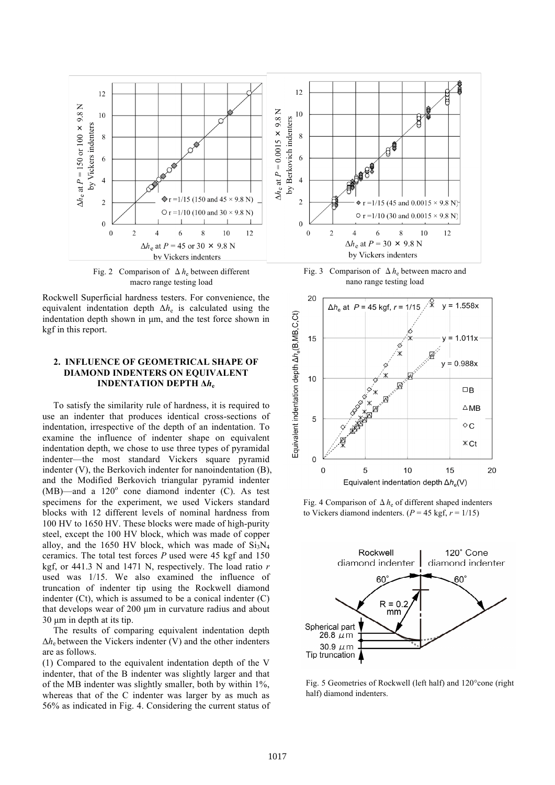

Fig. 2 Comparison of  $\Delta h_e$  between different macro range testing load

Rockwell Superficial hardness testers. For convenience, the equivalent indentation depth  $\Delta h_e$  is calculated using the indentation depth shown in  $\mu$ m, and the test force shown in kgf in this report.

## **2. INFLUENCE OF GEOMETRICAL SHAPE OF DIAMOND INDENTERS ON EQUIVALENT INDENTATION DEPTH Δ***h***<sup>e</sup>**

To satisfy the similarity rule of hardness, it is required to use an indenter that produces identical cross-sections of indentation, irrespective of the depth of an indentation. To examine the influence of indenter shape on equivalent indentation depth, we chose to use three types of pyramidal indenter—the most standard Vickers square pyramid indenter (V), the Berkovich indenter for nanoindentation (B), and the Modified Berkovich triangular pyramid indenter  $(MB)$ —and a  $120^\circ$  cone diamond indenter (C). As test specimens for the experiment, we used Vickers standard blocks with 12 different levels of nominal hardness from 100 HV to 1650 HV. These blocks were made of high-purity steel, except the 100 HV block, which was made of copper alloy, and the 1650 HV block, which was made of  $Si<sub>3</sub>N<sub>4</sub>$ ceramics. The total test forces *P* used were 45 kgf and 150 kgf, or 441.3 N and 1471 N, respectively. The load ratio *r* used was 1/15. We also examined the influence of truncation of indenter tip using the Rockwell diamond indenter (Ct), which is assumed to be a conical indenter (C) that develops wear of 200 µm in curvature radius and about 30 um in depth at its tip.

The results of comparing equivalent indentation depth  $\Delta h_e$  between the Vickers indenter (V) and the other indenters are as follows.

(1) Compared to the equivalent indentation depth of the V indenter, that of the B indenter was slightly larger and that of the MB indenter was slightly smaller, both by within 1%, whereas that of the C indenter was larger by as much as 56% as indicated in Fig. 4. Considering the current status of

Fig. 3 Comparison of  $\Delta h_e$  between macro and nano range testing load



Fig. 4 Comparison of Δ*h*e of different shaped indenters to Vickers diamond indenters.  $(P = 45 \text{ kgf}, r = 1/15)$ 



Fig. 5 Geometries of Rockwell (left half) and 120°cone (right half) diamond indenters.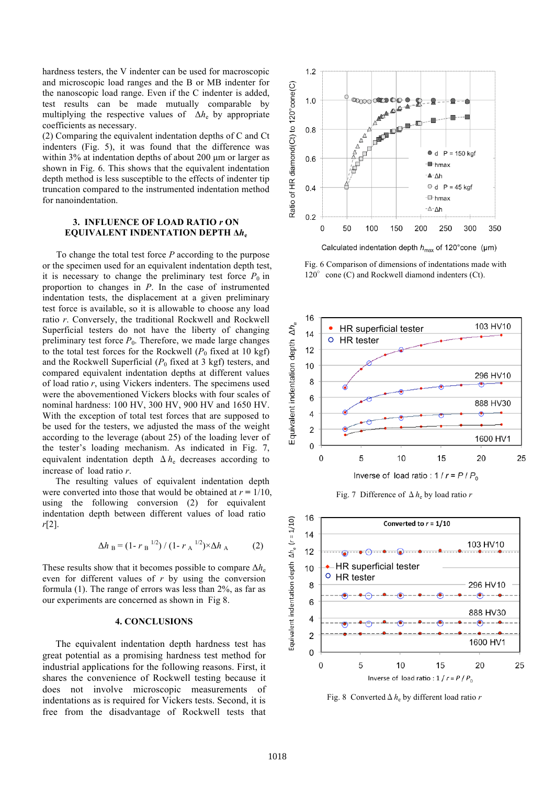hardness testers, the V indenter can be used for macroscopic and microscopic load ranges and the B or MB indenter for the nanoscopic load range. Even if the C indenter is added, test results can be made mutually comparable by multiplying the respective values of Δ*h*e by appropriate coefficients as necessary.

(2) Comparing the equivalent indentation depths of C and Ct indenters (Fig. 5), it was found that the difference was within 3% at indentation depths of about 200  $\mu$ m or larger as shown in Fig. 6. This shows that the equivalent indentation depth method is less susceptible to the effects of indenter tip truncation compared to the instrumented indentation method for nanoindentation.

#### **3. INFLUENCE OF LOAD RATIO** *r* **ON EQUIVALENT INDENTATION DEPTH Δ***h***<sup>e</sup>**

To change the total test force *P* according to the purpose or the specimen used for an equivalent indentation depth test, it is necessary to change the preliminary test force  $P_0$  in proportion to changes in *P*. In the case of instrumented indentation tests, the displacement at a given preliminary test force is available, so it is allowable to choose any load ratio *r*. Conversely, the traditional Rockwell and Rockwell Superficial testers do not have the liberty of changing preliminary test force  $P_0$ . Therefore, we made large changes to the total test forces for the Rockwell  $(P_0$  fixed at 10 kgf) and the Rockwell Superficial  $(P_0$  fixed at 3 kgf) testers, and compared equivalent indentation depths at different values of load ratio *r*, using Vickers indenters. The specimens used were the abovementioned Vickers blocks with four scales of nominal hardness: 100 HV, 300 HV, 900 HV and 1650 HV. With the exception of total test forces that are supposed to be used for the testers, we adjusted the mass of the weight according to the leverage (about 25) of the loading lever of the tester's loading mechanism. As indicated in Fig. 7, equivalent indentation depth  $\Delta h_e$  decreases according to increase of load ratio *r*.

The resulting values of equivalent indentation depth were converted into those that would be obtained at  $r = 1/10$ , using the following conversion (2) for equivalent indentation depth between different values of load ratio *r*[2].

$$
\Delta h_B = (1 - r_B^{-1/2}) / (1 - r_A^{-1/2}) \times \Delta h_A \tag{2}
$$

These results show that it becomes possible to compare  $\Delta h_e$ even for different values of *r* by using the conversion formula (1). The range of errors was less than 2%, as far as our experiments are concerned as shown in Fig 8.

#### **4. CONCLUSIONS**

The equivalent indentation depth hardness test has great potential as a promising hardness test method for industrial applications for the following reasons. First, it shares the convenience of Rockwell testing because it does not involve microscopic measurements of indentations as is required for Vickers tests. Second, it is free from the disadvantage of Rockwell tests that



Calculated indentation depth  $h_{\text{max}}$  of 120° cone (µm)

Fig. 6 Comparison of dimensions of indentations made with  $120^{\circ}$  cone (C) and Rockwell diamond indenters (Ct).



Fig. 7 Difference of Δ*h*e by load ratio *r* 



Fig. 8 ConvertedΔ*h*e by different load ratio *r*